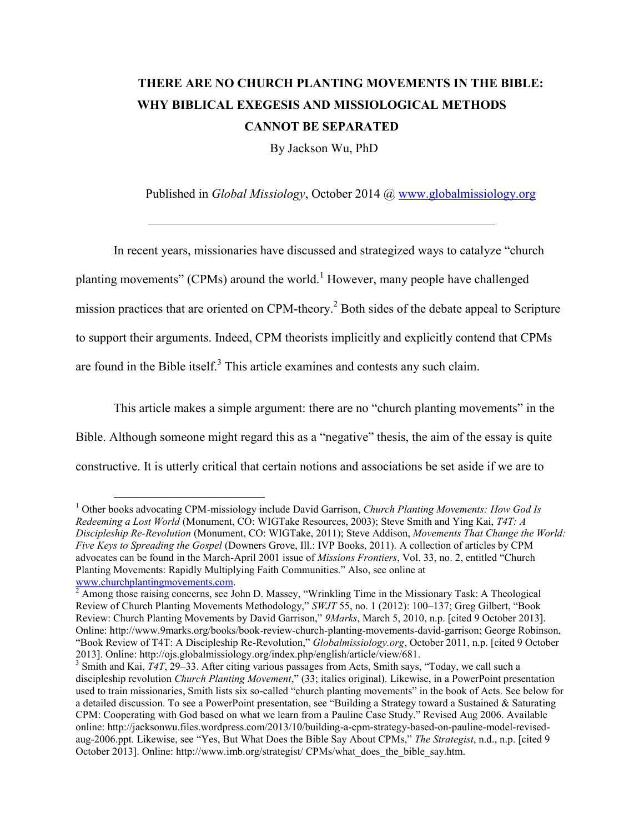# **THERE ARE NO CHURCH PLANTING MOVEMENTS IN THE BIBLE: WHY BIBLICAL EXEGESIS AND MISSIOLOGICAL METHODS CANNOT BE SEPARATED**

By Jackson Wu, PhD

–––––––––––––––––––––––––––––––––––––––––––––––––––––––

Published in *Global Missiology*, October 2014 @ [www.globalmissiology.org](http://www.globalmissiology.org/)

In recent years, missionaries have discussed and strategized ways to catalyze "church planting movements" (CPMs) around the world.<sup>1</sup> However, many people have challenged mission practices that are oriented on CPM-theory.<sup>2</sup> Both sides of the debate appeal to Scripture to support their arguments. Indeed, CPM theorists implicitly and explicitly contend that CPMs are found in the Bible itself. $3$  This article examines and contests any such claim.

This article makes a simple argument: there are no "church planting movements" in the Bible. Although someone might regard this as a "negative" thesis, the aim of the essay is quite constructive. It is utterly critical that certain notions and associations be set aside if we are to

<sup>1</sup> Other books advocating CPM-missiology include David Garrison, *Church Planting Movements: How God Is Redeeming a Lost World* (Monument, CO: WIGTake Resources, 2003); Steve Smith and Ying Kai, *T4T: A Discipleship Re-Revolution* (Monument, CO: WIGTake, 2011); Steve Addison, *Movements That Change the World: Five Keys to Spreading the Gospel* (Downers Grove, Ill.: IVP Books, 2011). A collection of articles by CPM advocates can be found in the March-April 2001 issue of *Missions Frontiers*, Vol. 33, no. 2, entitled "Church Planting Movements: Rapidly Multiplying Faith Communities." Also, see online at [www.churchplantingmovements.com.](http://www.churchplantingmovements.com/)

 $2 \text{ Among those raising concerns, see John D. Massey, "Wrinkling Time in the Missouri Task: A Theological$ Review of Church Planting Movements Methodology," *SWJT* 55, no. 1 (2012): 100–137; Greg Gilbert, "Book Review: Church Planting Movements by David Garrison," *9Marks*, March 5, 2010, n.p. [cited 9 October 2013]. Online: http://www.9marks.org/books/book-review-church-planting-movements-david-garrison; George Robinson, "Book Review of T4T: A Discipleship Re-Revolution," *Globalmissiology.org*, October 2011, n.p. [cited 9 October 2013]. Online: http://ojs.globalmissiology.org/index.php/english/article/view/681.

<sup>&</sup>lt;sup>3</sup> Smith and Kai, *T4T*, 29–33. After citing various passages from Acts, Smith says, "Today, we call such a discipleship revolution *Church Planting Movement*," (33; italics original). Likewise, in a PowerPoint presentation used to train missionaries, Smith lists six so-called "church planting movements" in the book of Acts. See below for a detailed discussion. To see a PowerPoint presentation, see "Building a Strategy toward a Sustained & Saturating CPM: Cooperating with God based on what we learn from a Pauline Case Study." Revised Aug 2006. Available online: http://jacksonwu.files.wordpress.com/2013/10/building-a-cpm-strategy-based-on-pauline-model-revisedaug-2006.ppt. Likewise, see "Yes, But What Does the Bible Say About CPMs," *The Strategist*, n.d., n.p. [cited 9 October 2013]. Online: http://www.imb.org/strategist/ CPMs/what\_does\_the\_bible\_say.htm.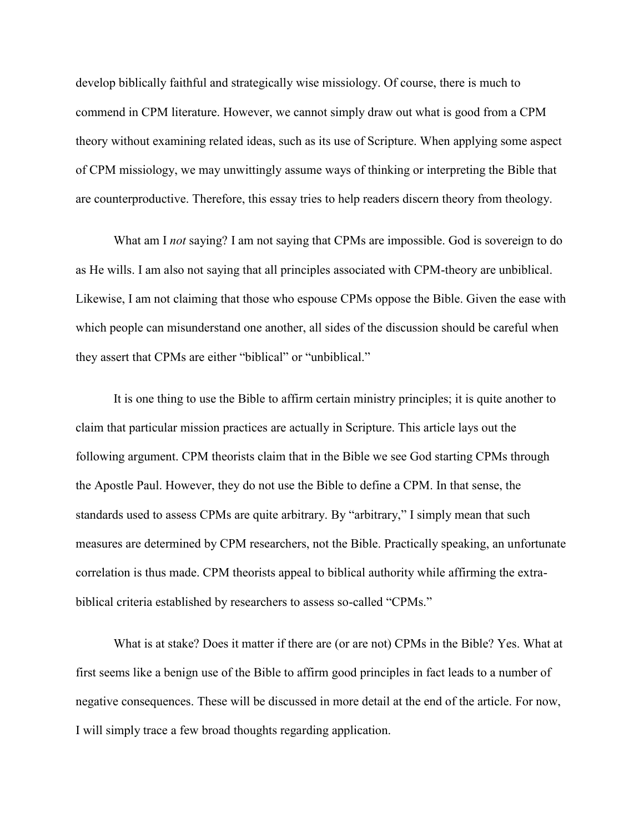develop biblically faithful and strategically wise missiology. Of course, there is much to commend in CPM literature. However, we cannot simply draw out what is good from a CPM theory without examining related ideas, such as its use of Scripture. When applying some aspect of CPM missiology, we may unwittingly assume ways of thinking or interpreting the Bible that are counterproductive. Therefore, this essay tries to help readers discern theory from theology.

What am I *not* saying? I am not saying that CPMs are impossible. God is sovereign to do as He wills. I am also not saying that all principles associated with CPM-theory are unbiblical. Likewise, I am not claiming that those who espouse CPMs oppose the Bible. Given the ease with which people can misunderstand one another, all sides of the discussion should be careful when they assert that CPMs are either "biblical" or "unbiblical."

It is one thing to use the Bible to affirm certain ministry principles; it is quite another to claim that particular mission practices are actually in Scripture. This article lays out the following argument. CPM theorists claim that in the Bible we see God starting CPMs through the Apostle Paul. However, they do not use the Bible to define a CPM. In that sense, the standards used to assess CPMs are quite arbitrary. By "arbitrary," I simply mean that such measures are determined by CPM researchers, not the Bible. Practically speaking, an unfortunate correlation is thus made. CPM theorists appeal to biblical authority while affirming the extrabiblical criteria established by researchers to assess so-called "CPMs."

What is at stake? Does it matter if there are (or are not) CPMs in the Bible? Yes. What at first seems like a benign use of the Bible to affirm good principles in fact leads to a number of negative consequences. These will be discussed in more detail at the end of the article. For now, I will simply trace a few broad thoughts regarding application.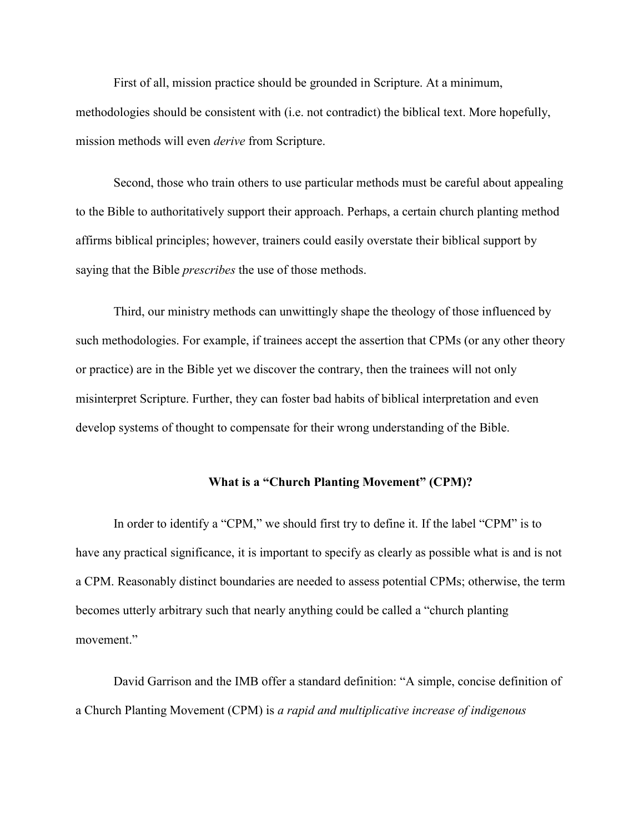First of all, mission practice should be grounded in Scripture. At a minimum, methodologies should be consistent with (i.e. not contradict) the biblical text. More hopefully, mission methods will even *derive* from Scripture.

Second, those who train others to use particular methods must be careful about appealing to the Bible to authoritatively support their approach. Perhaps, a certain church planting method affirms biblical principles; however, trainers could easily overstate their biblical support by saying that the Bible *prescribes* the use of those methods.

Third, our ministry methods can unwittingly shape the theology of those influenced by such methodologies. For example, if trainees accept the assertion that CPMs (or any other theory or practice) are in the Bible yet we discover the contrary, then the trainees will not only misinterpret Scripture. Further, they can foster bad habits of biblical interpretation and even develop systems of thought to compensate for their wrong understanding of the Bible.

### **What is a "Church Planting Movement" (CPM)?**

In order to identify a "CPM," we should first try to define it. If the label "CPM" is to have any practical significance, it is important to specify as clearly as possible what is and is not a CPM. Reasonably distinct boundaries are needed to assess potential CPMs; otherwise, the term becomes utterly arbitrary such that nearly anything could be called a "church planting movement."

David Garrison and the IMB offer a standard definition: "A simple, concise definition of a Church Planting Movement (CPM) is *a rapid and multiplicative increase of indigenous*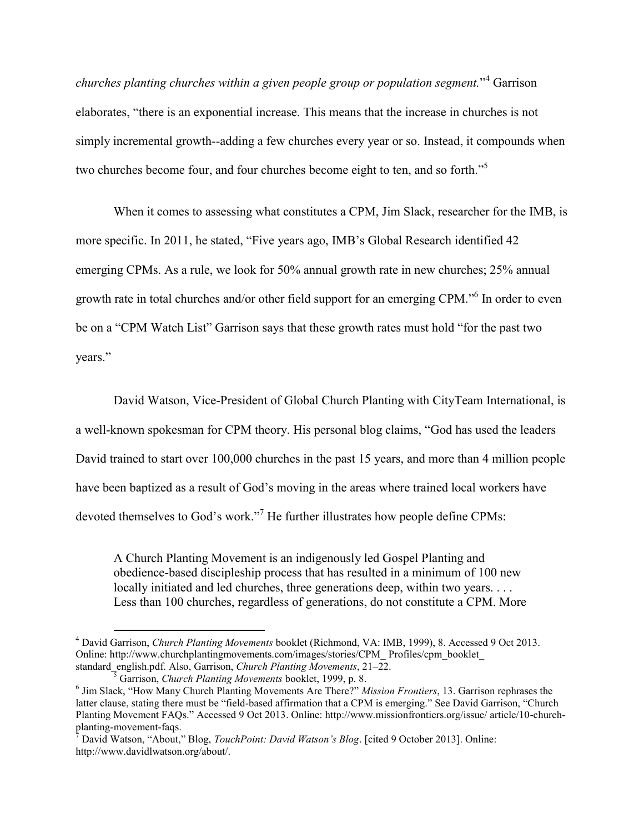*churches planting churches within a given people group or population segment.*" <sup>4</sup> Garrison elaborates, "there is an exponential increase. This means that the increase in churches is not simply incremental growth--adding a few churches every year or so. Instead, it compounds when two churches become four, and four churches become eight to ten, and so forth."<sup>5</sup>

When it comes to assessing what constitutes a CPM, Jim Slack, researcher for the IMB, is more specific. In 2011, he stated, "Five years ago, IMB's Global Research identified 42 emerging CPMs. As a rule, we look for 50% annual growth rate in new churches; 25% annual growth rate in total churches and/or other field support for an emerging CPM."<sup>6</sup> In order to even be on a "CPM Watch List" Garrison says that these growth rates must hold "for the past two years."

David Watson, Vice-President of Global Church Planting with CityTeam International, is a well-known spokesman for CPM theory. His personal blog claims, "God has used the leaders David trained to start over 100,000 churches in the past 15 years, and more than 4 million people have been baptized as a result of God's moving in the areas where trained local workers have devoted themselves to God's work."<sup>7</sup> He further illustrates how people define CPMs:

A Church Planting Movement is an indigenously led Gospel Planting and obedience-based discipleship process that has resulted in a minimum of 100 new locally initiated and led churches, three generations deep, within two years. . . . Less than 100 churches, regardless of generations, do not constitute a CPM. More

<sup>4</sup> David Garrison, *Church Planting Movements* booklet (Richmond, VA: IMB, 1999), 8. Accessed 9 Oct 2013. Online: http://www.churchplantingmovements.com/images/stories/CPM\_ Profiles/cpm\_booklet\_ standard\_english.pdf. Also, Garrison, *Church Planting Movements*, 21–22. <sup>5</sup> Garrison, *Church Planting Movements* booklet, 1999, p. 8.

<sup>6</sup> Jim Slack, "How Many Church Planting Movements Are There?" *Mission Frontiers*, 13. Garrison rephrases the latter clause, stating there must be "field-based affirmation that a CPM is emerging." See David Garrison, "Church Planting Movement FAQs." Accessed 9 Oct 2013. Online: http://www.missionfrontiers.org/issue/ article/10-churchplanting-movement-faqs.

<sup>7</sup> David Watson, "About," Blog, *TouchPoint: David Watson's Blog*. [cited 9 October 2013]. Online: http://www.davidlwatson.org/about/.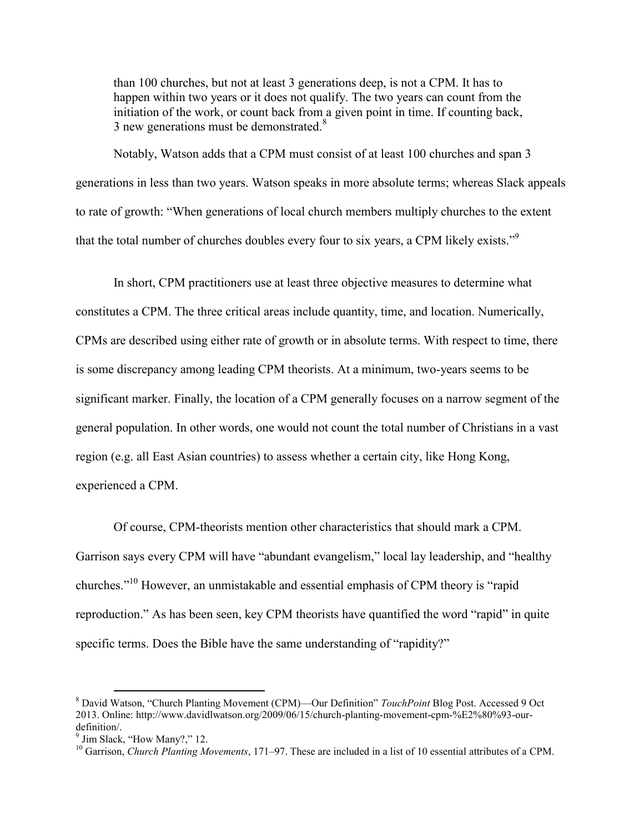than 100 churches, but not at least 3 generations deep, is not a CPM. It has to happen within two years or it does not qualify. The two years can count from the initiation of the work, or count back from a given point in time. If counting back, 3 new generations must be demonstrated.<sup>8</sup>

Notably, Watson adds that a CPM must consist of at least 100 churches and span 3 generations in less than two years. Watson speaks in more absolute terms; whereas Slack appeals to rate of growth: "When generations of local church members multiply churches to the extent that the total number of churches doubles every four to six years, a CPM likely exists."<sup>9</sup>

In short, CPM practitioners use at least three objective measures to determine what constitutes a CPM. The three critical areas include quantity, time, and location. Numerically, CPMs are described using either rate of growth or in absolute terms. With respect to time, there is some discrepancy among leading CPM theorists. At a minimum, two-years seems to be significant marker. Finally, the location of a CPM generally focuses on a narrow segment of the general population. In other words, one would not count the total number of Christians in a vast region (e.g. all East Asian countries) to assess whether a certain city, like Hong Kong, experienced a CPM.

Of course, CPM-theorists mention other characteristics that should mark a CPM. Garrison says every CPM will have "abundant evangelism," local lay leadership, and "healthy churches."<sup>10</sup> However, an unmistakable and essential emphasis of CPM theory is "rapid reproduction." As has been seen, key CPM theorists have quantified the word "rapid" in quite specific terms. Does the Bible have the same understanding of "rapidity?"

<sup>8</sup> David Watson, "Church Planting Movement (CPM)––Our Definition" *TouchPoint* Blog Post. Accessed 9 Oct 2013. Online: http://www.davidlwatson.org/2009/06/15/church-planting-movement-cpm-%E2%80%93-ourdefinition/.

<sup>&</sup>lt;sup>9</sup> Jim Slack, "How Many?," 12.

<sup>&</sup>lt;sup>10</sup> Garrison, *Church Planting Movements*, 171–97. These are included in a list of 10 essential attributes of a CPM.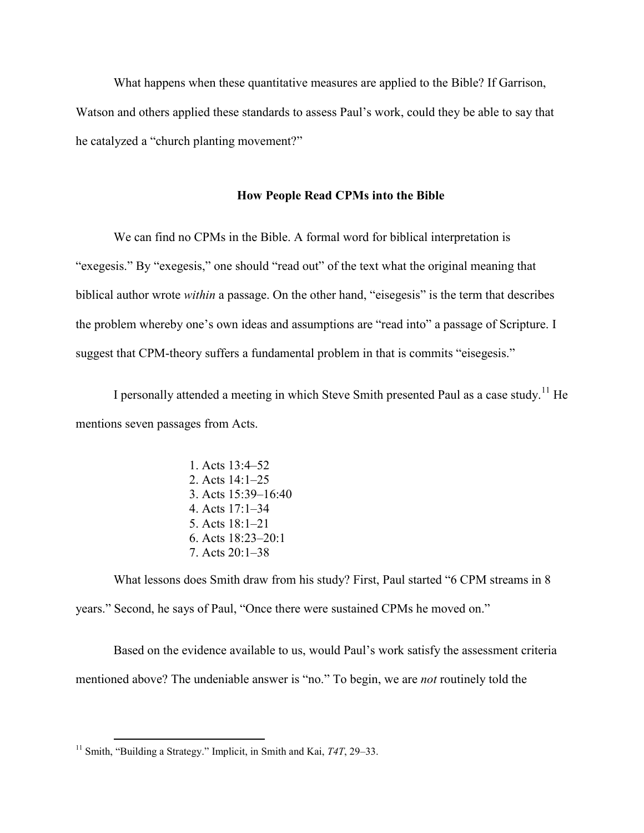What happens when these quantitative measures are applied to the Bible? If Garrison, Watson and others applied these standards to assess Paul's work, could they be able to say that he catalyzed a "church planting movement?"

#### **How People Read CPMs into the Bible**

We can find no CPMs in the Bible. A formal word for biblical interpretation is "exegesis." By "exegesis," one should "read out" of the text what the original meaning that biblical author wrote *within* a passage. On the other hand, "eisegesis" is the term that describes the problem whereby one's own ideas and assumptions are "read into" a passage of Scripture. I suggest that CPM-theory suffers a fundamental problem in that is commits "eisegesis."

I personally attended a meeting in which Steve Smith presented Paul as a case study.<sup>11</sup> He mentions seven passages from Acts.

> 1. Acts 13:4–52 2. Acts 14:1–25 3. Acts 15:39–16:40 4. Acts 17:1–34 5. Acts 18:1–21 6. Acts 18:23–20:1 7. Acts 20:1–38

What lessons does Smith draw from his study? First, Paul started "6 CPM streams in 8 years." Second, he says of Paul, "Once there were sustained CPMs he moved on."

Based on the evidence available to us, would Paul's work satisfy the assessment criteria mentioned above? The undeniable answer is "no." To begin, we are *not* routinely told the

<sup>&</sup>lt;sup>11</sup> Smith, "Building a Strategy." Implicit, in Smith and Kai, *T4T*, 29–33.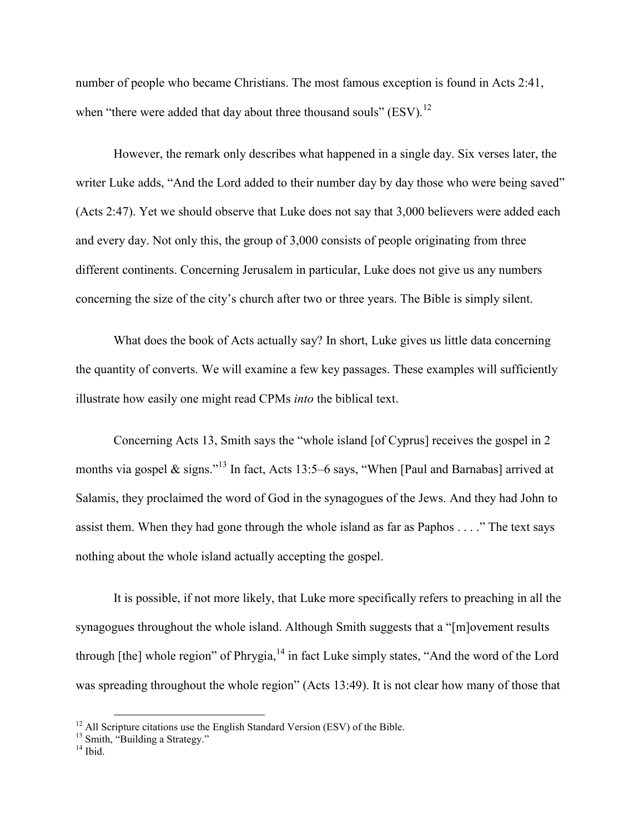number of people who became Christians. The most famous exception is found in Acts 2:41, when "there were added that day about three thousand souls" (ESV).<sup>12</sup>

However, the remark only describes what happened in a single day. Six verses later, the writer Luke adds, "And the Lord added to their number day by day those who were being saved" (Acts 2:47). Yet we should observe that Luke does not say that 3,000 believers were added each and every day. Not only this, the group of 3,000 consists of people originating from three different continents. Concerning Jerusalem in particular, Luke does not give us any numbers concerning the size of the city's church after two or three years. The Bible is simply silent.

What does the book of Acts actually say? In short, Luke gives us little data concerning the quantity of converts. We will examine a few key passages. These examples will sufficiently illustrate how easily one might read CPMs *into* the biblical text.

Concerning Acts 13, Smith says the "whole island [of Cyprus] receives the gospel in 2 months via gospel & signs."<sup>13</sup> In fact, Acts 13:5–6 says, "When [Paul and Barnabas] arrived at Salamis, they proclaimed the word of God in the synagogues of the Jews. And they had John to assist them. When they had gone through the whole island as far as Paphos . . . ." The text says nothing about the whole island actually accepting the gospel.

It is possible, if not more likely, that Luke more specifically refers to preaching in all the synagogues throughout the whole island. Although Smith suggests that a "[m]ovement results through  $[the]$  whole region" of Phrygia,  $14$  in fact Luke simply states, "And the word of the Lord was spreading throughout the whole region" (Acts 13:49). It is not clear how many of those that

 $12$  All Scripture citations use the English Standard Version (ESV) of the Bible.

<sup>&</sup>lt;sup>13</sup> Smith, "Building a Strategy."

 $14$  Ibid.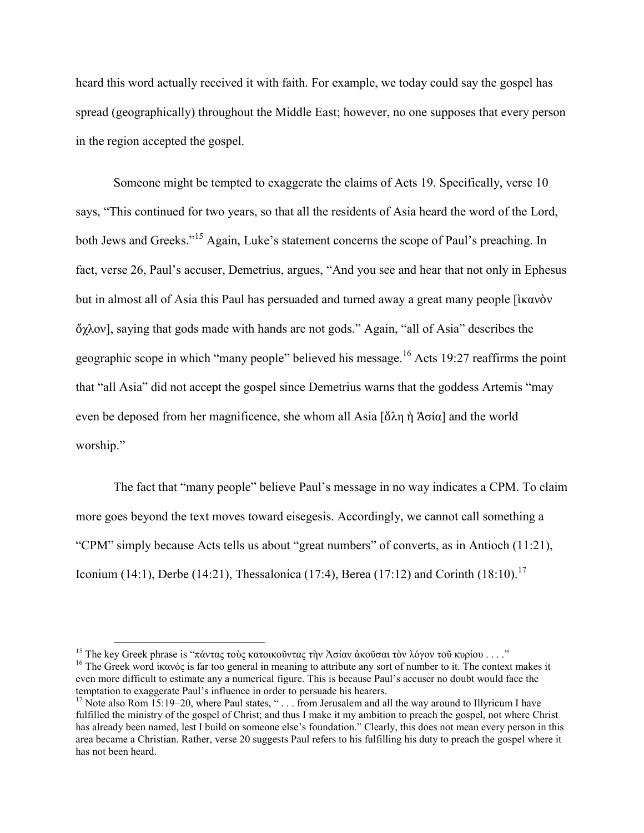heard this word actually received it with faith. For example, we today could say the gospel has spread (geographically) throughout the Middle East; however, no one supposes that every person in the region accepted the gospel.

Someone might be tempted to exaggerate the claims of Acts 19. Specifically, verse 10 says, "This continued for two years, so that all the residents of Asia heard the word of the Lord, both Jews and Greeks."<sup>15</sup> Again, Luke's statement concerns the scope of Paul's preaching. In fact, verse 26, Paul's accuser, Demetrius, argues, "And you see and hear that not only in Ephesus but in almost all of Asia this Paul has persuaded and turned away a great many people [ἱκανὸν ὄχλον], saying that gods made with hands are not gods." Again, "all of Asia" describes the geographic scope in which "many people" believed his message.<sup>16</sup> Acts 19:27 reaffirms the point that "all Asia" did not accept the gospel since Demetrius warns that the goddess Artemis "may even be deposed from her magnificence, she whom all Asia [ὅλη ἡ Ἀσία] and the world worship."

The fact that "many people" believe Paul's message in no way indicates a CPM. To claim more goes beyond the text moves toward eisegesis. Accordingly, we cannot call something a "CPM" simply because Acts tells us about "great numbers" of converts, as in Antioch (11:21), Iconium (14:1), Derbe (14:21), Thessalonica (17:4), Berea (17:12) and Corinth (18:10).<sup>17</sup>

<sup>&</sup>lt;sup>15</sup> The key Greek phrase is "πάντας τοὺς κατοικοῦντας τὴν Ἀσίαν ἀκοῦσαι τὸν λόγον τοῦ κυρίου . . . ."

<sup>&</sup>lt;sup>16</sup> The Greek word ίκανός is far too general in meaning to attribute any sort of number to it. The context makes it even more difficult to estimate any a numerical figure. This is because Paul's accuser no doubt would face the temptation to exaggerate Paul's influence in order to persuade his hearers.

<sup>&</sup>lt;sup>17</sup> Note also Rom 15:19–20, where Paul states, "... from Jerusalem and all the way around to Illyricum I have fulfilled the ministry of the gospel of Christ; and thus I make it my ambition to preach the gospel, not where Christ has already been named, lest I build on someone else's foundation." Clearly, this does not mean every person in this area became a Christian. Rather, verse 20 suggests Paul refers to his fulfilling his duty to preach the gospel where it has not been heard.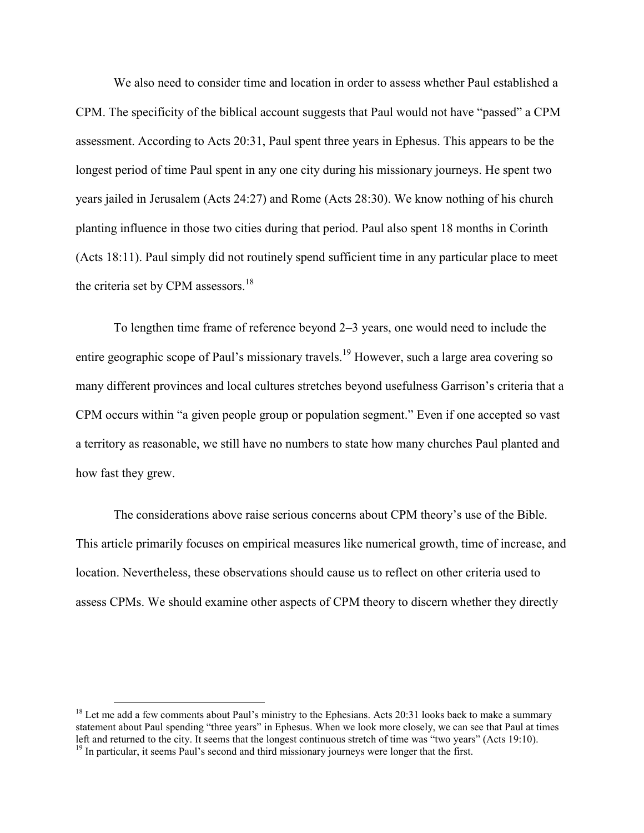We also need to consider time and location in order to assess whether Paul established a CPM. The specificity of the biblical account suggests that Paul would not have "passed" a CPM assessment. According to Acts 20:31, Paul spent three years in Ephesus. This appears to be the longest period of time Paul spent in any one city during his missionary journeys. He spent two years jailed in Jerusalem (Acts 24:27) and Rome (Acts 28:30). We know nothing of his church planting influence in those two cities during that period. Paul also spent 18 months in Corinth (Acts 18:11). Paul simply did not routinely spend sufficient time in any particular place to meet the criteria set by CPM assessors. $18$ 

To lengthen time frame of reference beyond 2–3 years, one would need to include the entire geographic scope of Paul's missionary travels.<sup>19</sup> However, such a large area covering so many different provinces and local cultures stretches beyond usefulness Garrison's criteria that a CPM occurs within "a given people group or population segment." Even if one accepted so vast a territory as reasonable, we still have no numbers to state how many churches Paul planted and how fast they grew.

The considerations above raise serious concerns about CPM theory's use of the Bible. This article primarily focuses on empirical measures like numerical growth, time of increase, and location. Nevertheless, these observations should cause us to reflect on other criteria used to assess CPMs. We should examine other aspects of CPM theory to discern whether they directly

 $18$  Let me add a few comments about Paul's ministry to the Ephesians. Acts 20:31 looks back to make a summary statement about Paul spending "three years" in Ephesus. When we look more closely, we can see that Paul at times left and returned to the city. It seems that the longest continuous stretch of time was "two years" (Acts 19:10).  $<sup>19</sup>$  In particular, it seems Paul's second and third missionary journeys were longer that the first.</sup>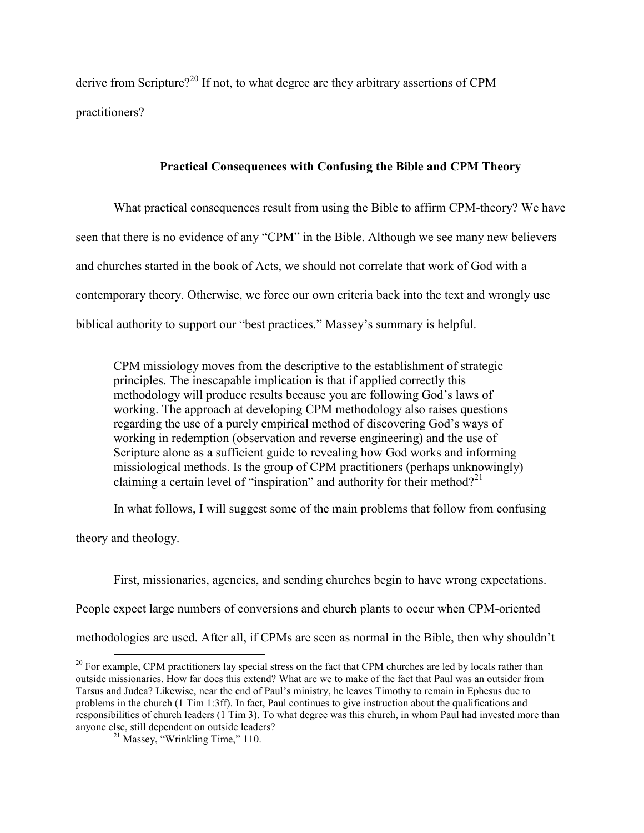derive from Scripture?<sup>20</sup> If not, to what degree are they arbitrary assertions of CPM practitioners?

## **Practical Consequences with Confusing the Bible and CPM Theory**

What practical consequences result from using the Bible to affirm CPM-theory? We have seen that there is no evidence of any "CPM" in the Bible. Although we see many new believers and churches started in the book of Acts, we should not correlate that work of God with a contemporary theory. Otherwise, we force our own criteria back into the text and wrongly use biblical authority to support our "best practices." Massey's summary is helpful.

CPM missiology moves from the descriptive to the establishment of strategic principles. The inescapable implication is that if applied correctly this methodology will produce results because you are following God's laws of working. The approach at developing CPM methodology also raises questions regarding the use of a purely empirical method of discovering God's ways of working in redemption (observation and reverse engineering) and the use of Scripture alone as a sufficient guide to revealing how God works and informing missiological methods. Is the group of CPM practitioners (perhaps unknowingly) claiming a certain level of "inspiration" and authority for their method?<sup>21</sup>

In what follows, I will suggest some of the main problems that follow from confusing

theory and theology.

 $\overline{a}$ 

First, missionaries, agencies, and sending churches begin to have wrong expectations.

People expect large numbers of conversions and church plants to occur when CPM-oriented

methodologies are used. After all, if CPMs are seen as normal in the Bible, then why shouldn't

 $20^{\circ}$  For example, CPM practitioners lay special stress on the fact that CPM churches are led by locals rather than outside missionaries. How far does this extend? What are we to make of the fact that Paul was an outsider from Tarsus and Judea? Likewise, near the end of Paul's ministry, he leaves Timothy to remain in Ephesus due to problems in the church (1 Tim 1:3ff). In fact, Paul continues to give instruction about the qualifications and responsibilities of church leaders (1 Tim 3). To what degree was this church, in whom Paul had invested more than anyone else, still dependent on outside leaders?

 $^{21}$  Massey, "Wrinkling Time," 110.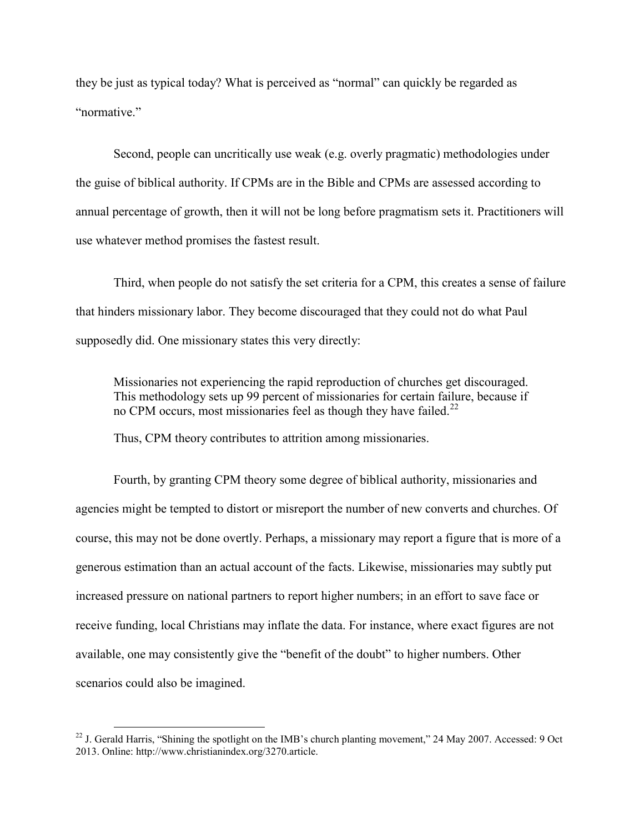they be just as typical today? What is perceived as "normal" can quickly be regarded as "normative"

Second, people can uncritically use weak (e.g. overly pragmatic) methodologies under the guise of biblical authority. If CPMs are in the Bible and CPMs are assessed according to annual percentage of growth, then it will not be long before pragmatism sets it. Practitioners will use whatever method promises the fastest result.

Third, when people do not satisfy the set criteria for a CPM, this creates a sense of failure that hinders missionary labor. They become discouraged that they could not do what Paul supposedly did. One missionary states this very directly:

Missionaries not experiencing the rapid reproduction of churches get discouraged. This methodology sets up 99 percent of missionaries for certain failure, because if no CPM occurs, most missionaries feel as though they have failed.<sup>22</sup>

Thus, CPM theory contributes to attrition among missionaries.

Fourth, by granting CPM theory some degree of biblical authority, missionaries and agencies might be tempted to distort or misreport the number of new converts and churches. Of course, this may not be done overtly. Perhaps, a missionary may report a figure that is more of a generous estimation than an actual account of the facts. Likewise, missionaries may subtly put increased pressure on national partners to report higher numbers; in an effort to save face or receive funding, local Christians may inflate the data. For instance, where exact figures are not available, one may consistently give the "benefit of the doubt" to higher numbers. Other scenarios could also be imagined.

<sup>&</sup>lt;sup>22</sup> J. Gerald Harris, "Shining the spotlight on the IMB's church planting movement," 24 May 2007. Accessed: 9 Oct 2013. Online: http://www.christianindex.org/3270.article.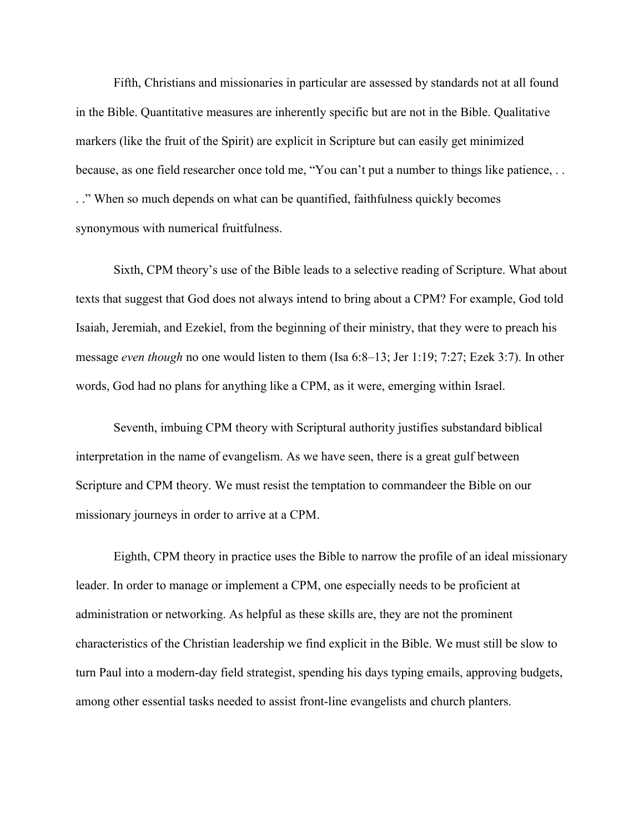Fifth, Christians and missionaries in particular are assessed by standards not at all found in the Bible. Quantitative measures are inherently specific but are not in the Bible. Qualitative markers (like the fruit of the Spirit) are explicit in Scripture but can easily get minimized because, as one field researcher once told me, "You can't put a number to things like patience, . . . ." When so much depends on what can be quantified, faithfulness quickly becomes synonymous with numerical fruitfulness.

Sixth, CPM theory's use of the Bible leads to a selective reading of Scripture. What about texts that suggest that God does not always intend to bring about a CPM? For example, God told Isaiah, Jeremiah, and Ezekiel, from the beginning of their ministry, that they were to preach his message *even though* no one would listen to them (Isa 6:8–13; Jer 1:19; 7:27; Ezek 3:7). In other words, God had no plans for anything like a CPM, as it were, emerging within Israel.

Seventh, imbuing CPM theory with Scriptural authority justifies substandard biblical interpretation in the name of evangelism. As we have seen, there is a great gulf between Scripture and CPM theory. We must resist the temptation to commandeer the Bible on our missionary journeys in order to arrive at a CPM.

Eighth, CPM theory in practice uses the Bible to narrow the profile of an ideal missionary leader. In order to manage or implement a CPM, one especially needs to be proficient at administration or networking. As helpful as these skills are, they are not the prominent characteristics of the Christian leadership we find explicit in the Bible. We must still be slow to turn Paul into a modern-day field strategist, spending his days typing emails, approving budgets, among other essential tasks needed to assist front-line evangelists and church planters.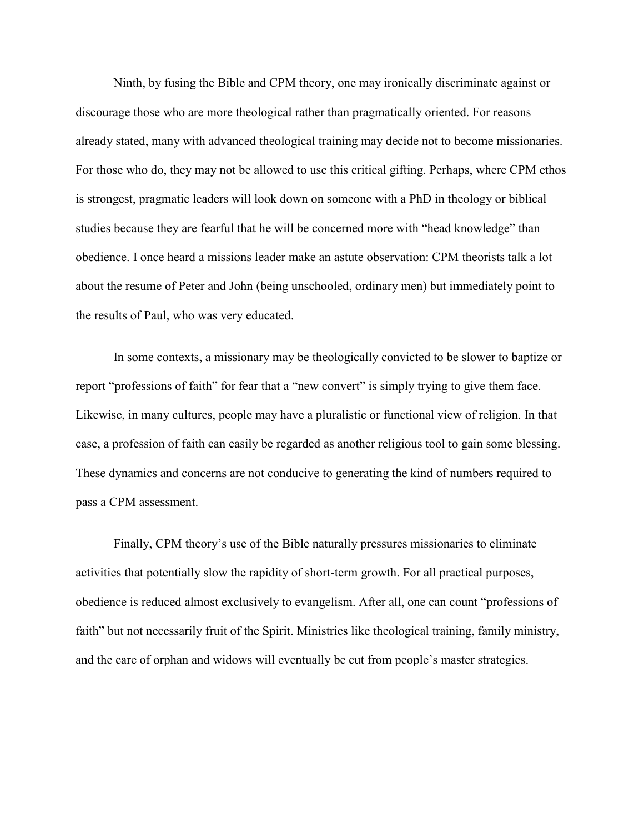Ninth, by fusing the Bible and CPM theory, one may ironically discriminate against or discourage those who are more theological rather than pragmatically oriented. For reasons already stated, many with advanced theological training may decide not to become missionaries. For those who do, they may not be allowed to use this critical gifting. Perhaps, where CPM ethos is strongest, pragmatic leaders will look down on someone with a PhD in theology or biblical studies because they are fearful that he will be concerned more with "head knowledge" than obedience. I once heard a missions leader make an astute observation: CPM theorists talk a lot about the resume of Peter and John (being unschooled, ordinary men) but immediately point to the results of Paul, who was very educated.

In some contexts, a missionary may be theologically convicted to be slower to baptize or report "professions of faith" for fear that a "new convert" is simply trying to give them face. Likewise, in many cultures, people may have a pluralistic or functional view of religion. In that case, a profession of faith can easily be regarded as another religious tool to gain some blessing. These dynamics and concerns are not conducive to generating the kind of numbers required to pass a CPM assessment.

Finally, CPM theory's use of the Bible naturally pressures missionaries to eliminate activities that potentially slow the rapidity of short-term growth. For all practical purposes, obedience is reduced almost exclusively to evangelism. After all, one can count "professions of faith" but not necessarily fruit of the Spirit. Ministries like theological training, family ministry, and the care of orphan and widows will eventually be cut from people's master strategies.